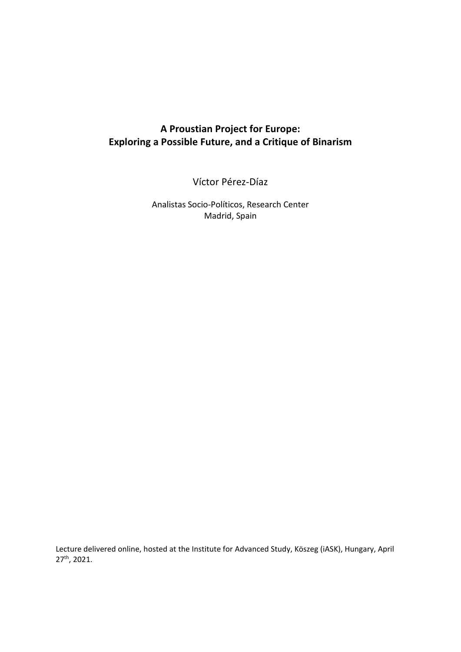# **A Proustian Project for Europe: Exploring a Possible Future, and a Critique of Binarism**

Víctor Pérez-Díaz

Analistas Socio-Políticos, Research Center Madrid, Spain

Lecture delivered online, hosted at the Institute for Advanced Study, Köszeg (iASK), Hungary, April 27th, 2021.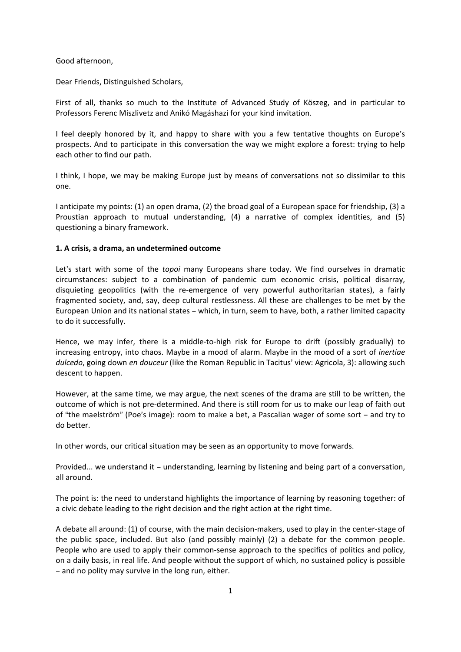Good afternoon,

Dear Friends, Distinguished Scholars,

First of all, thanks so much to the Institute of Advanced Study of Köszeg, and in particular to Professors Ferenc Miszlivetz and Anikó Magáshazi for your kind invitation.

I feel deeply honored by it, and happy to share with you a few tentative thoughts on Europe's prospects. And to participate in this conversation the way we might explore a forest: trying to help each other to find our path.

I think, I hope, we may be making Europe just by means of conversations not so dissimilar to this one.

I anticipate my points: (1) an open drama, (2) the broad goal of a European space for friendship, (3) a Proustian approach to mutual understanding, (4) a narrative of complex identities, and (5) questioning a binary framework.

## **1. A crisis, a drama, an undetermined outcome**

Let's start with some of the *topoi* many Europeans share today. We find ourselves in dramatic circumstances: subject to a combination of pandemic cum economic crisis, political disarray, disquieting geopolitics (with the re-emergence of very powerful authoritarian states), a fairly fragmented society, and, say, deep cultural restlessness. All these are challenges to be met by the European Union and its national states - which, in turn, seem to have, both, a rather limited capacity to do it successfully.

Hence, we may infer, there is a middle-to-high risk for Europe to drift (possibly gradually) to increasing entropy, into chaos. Maybe in a mood of alarm. Maybe in the mood of a sort of *inertiae dulcedo*, going down *en douceur* (like the Roman Republic in Tacitus' view: Agricola, 3): allowing such descent to happen.

However, at the same time, we may argue, the next scenes of the drama are still to be written, the outcome of which is not pre-determined. And there is still room for us to make our leap of faith out of "the maelström" (Poe's image): room to make a bet, a Pascalian wager of some sort – and try to do better.

In other words, our critical situation may be seen as an opportunity to move forwards.

Provided... we understand it - understanding, learning by listening and being part of a conversation, all around.

The point is: the need to understand highlights the importance of learning by reasoning together: of a civic debate leading to the right decision and the right action at the right time.

A debate all around: (1) of course, with the main decision-makers, used to play in the center-stage of the public space, included. But also (and possibly mainly) (2) a debate for the common people. People who are used to apply their common-sense approach to the specifics of politics and policy, on a daily basis, in real life. And people without the support of which, no sustained policy is possible - and no polity may survive in the long run, either.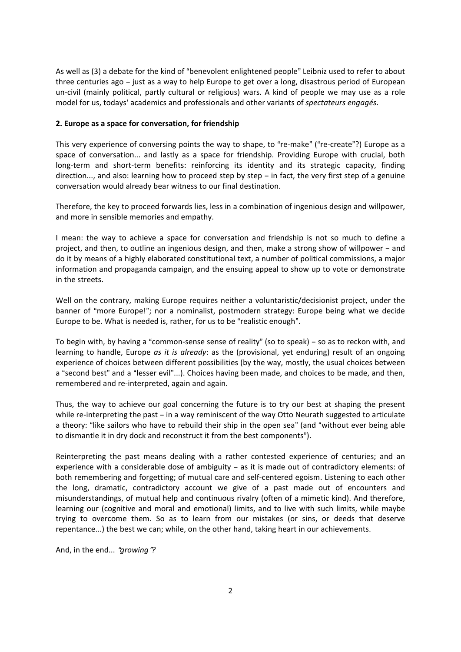As well as (3) a debate for the kind of "benevolent enlightened people" Leibniz used to refer to about three centuries ago – just as a way to help Europe to get over a long, disastrous period of European un-civil (mainly political, partly cultural or religious) wars. A kind of people we may use as a role model for us, todays' academics and professionals and other variants of *spectateurs engagés*.

## **2. Europe as a space for conversation, for friendship**

This very experience of conversing points the way to shape, to "re-make" ("re-create"?) Europe as a space of conversation... and lastly as a space for friendship. Providing Europe with crucial, both long-term and short-term benefits: reinforcing its identity and its strategic capacity, finding direction..., and also: learning how to proceed step by step  $-$  in fact, the very first step of a genuine conversation would already bear witness to our final destination.

Therefore, the key to proceed forwards lies, less in a combination of ingenious design and willpower, and more in sensible memories and empathy.

I mean: the way to achieve a space for conversation and friendship is not so much to define a project, and then, to outline an ingenious design, and then, make a strong show of willpower - and do it by means of a highly elaborated constitutional text, a number of political commissions, a major information and propaganda campaign, and the ensuing appeal to show up to vote or demonstrate in the streets.

Well on the contrary, making Europe requires neither a voluntaristic/decisionist project, under the banner of "more Europe!"; nor a nominalist, postmodern strategy: Europe being what we decide Europe to be. What is needed is, rather, for us to be "realistic enough".

To begin with, by having a "common-sense sense of reality" (so to speak) - so as to reckon with, and learning to handle, Europe *as it is already*: as the (provisional, yet enduring) result of an ongoing experience of choices between different possibilities (by the way, mostly, the usual choices between a "second best" and a "lesser evil"...). Choices having been made, and choices to be made, and then, remembered and re-interpreted, again and again.

Thus, the way to achieve our goal concerning the future is to try our best at shaping the present while re-interpreting the past - in a way reminiscent of the way Otto Neurath suggested to articulate a theory: "like sailors who have to rebuild their ship in the open sea" (and "without ever being able to dismantle it in dry dock and reconstruct it from the best components").

Reinterpreting the past means dealing with a rather contested experience of centuries; and an experience with a considerable dose of ambiguity  $-$  as it is made out of contradictory elements: of both remembering and forgetting; of mutual care and self-centered egoism. Listening to each other the long, dramatic, contradictory account we give of a past made out of encounters and misunderstandings, of mutual help and continuous rivalry (often of a mimetic kind). And therefore, learning our (cognitive and moral and emotional) limits, and to live with such limits, while maybe trying to overcome them. So as to learn from our mistakes (or sins, or deeds that deserve repentance...) the best we can; while, on the other hand, taking heart in our achievements.

And, in the end... "growing"?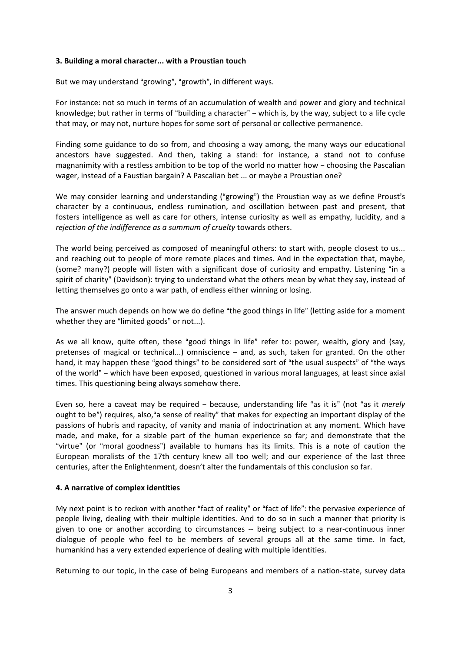#### **3. Building a moral character... with a Proustian touch**

But we may understand "growing", "growth", in different ways.

For instance: not so much in terms of an accumulation of wealth and power and glory and technical knowledge; but rather in terms of "building a character" - which is, by the way, subject to a life cycle that may, or may not, nurture hopes for some sort of personal or collective permanence.

Finding some guidance to do so from, and choosing a way among, the many ways our educational ancestors have suggested. And then, taking a stand: for instance, a stand not to confuse magnanimity with a restless ambition to be top of the world no matter how - choosing the Pascalian wager, instead of a Faustian bargain? A Pascalian bet ... or maybe a Proustian one?

We may consider learning and understanding ("growing") the Proustian way as we define Proust's character by a continuous, endless rumination, and oscillation between past and present, that fosters intelligence as well as care for others, intense curiosity as well as empathy, lucidity, and a *rejection of the indifference as a summum of cruelty* towards others.

The world being perceived as composed of meaningful others: to start with, people closest to us... and reaching out to people of more remote places and times. And in the expectation that, maybe, (some? many?) people will listen with a significant dose of curiosity and empathy. Listening "in a spirit of charity" (Davidson): trying to understand what the others mean by what they say, instead of letting themselves go onto a war path, of endless either winning or losing.

The answer much depends on how we do define "the good things in life" (letting aside for a moment whether they are "limited goods" or not...).

As we all know, quite often, these "good things in life" refer to: power, wealth, glory and (say, pretenses of magical or technical...) omniscience - and, as such, taken for granted. On the other hand, it may happen these "good things" to be considered sort of "the usual suspects" of "the ways of the world" – which have been exposed, questioned in various moral languages, at least since axial times. This questioning being always somehow there.

Even so, here a caveat may be required - because, understanding life "as it is" (not "as it *merely* ought to be") requires, also," a sense of reality" that makes for expecting an important display of the passions of hubris and rapacity, of vanity and mania of indoctrination at any moment. Which have made, and make, for a sizable part of the human experience so far; and demonstrate that the "virtue" (or "moral goodness") available to humans has its limits. This is a note of caution the European moralists of the 17th century knew all too well; and our experience of the last three centuries, after the Enlightenment, doesn't alter the fundamentals of this conclusion so far.

### **4. A narrative of complex identities**

My next point is to reckon with another "fact of reality" or "fact of life": the pervasive experience of people living, dealing with their multiple identities. And to do so in such a manner that priority is given to one or another according to circumstances -- being subject to a near-continuous inner dialogue of people who feel to be members of several groups all at the same time. In fact, humankind has a very extended experience of dealing with multiple identities.

Returning to our topic, in the case of being Europeans and members of a nation-state, survey data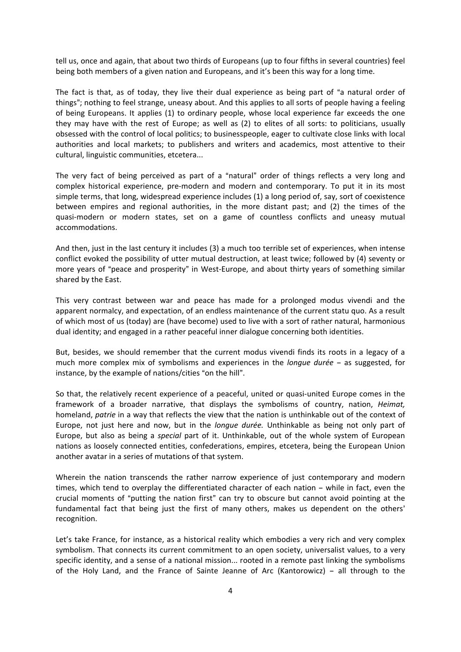tell us, once and again, that about two thirds of Europeans (up to four fifths in several countries) feel being both members of a given nation and Europeans, and it's been this way for a long time.

The fact is that, as of today, they live their dual experience as being part of "a natural order of things"; nothing to feel strange, uneasy about. And this applies to all sorts of people having a feeling of being Europeans. It applies (1) to ordinary people, whose local experience far exceeds the one they may have with the rest of Europe; as well as (2) to elites of all sorts: to politicians, usually obsessed with the control of local politics; to businesspeople, eager to cultivate close links with local authorities and local markets; to publishers and writers and academics, most attentive to their cultural, linguistic communities, etcetera...

The very fact of being perceived as part of a "natural" order of things reflects a very long and complex historical experience, pre-modern and modern and contemporary. To put it in its most simple terms, that long, widespread experience includes (1) a long period of, say, sort of coexistence between empires and regional authorities, in the more distant past; and (2) the times of the quasi-modern or modern states, set on a game of countless conflicts and uneasy mutual accommodations.

And then, just in the last century it includes (3) a much too terrible set of experiences, when intense conflict evoked the possibility of utter mutual destruction, at least twice; followed by (4) seventy or more years of "peace and prosperity" in West-Europe, and about thirty years of something similar shared by the East.

This very contrast between war and peace has made for a prolonged modus vivendi and the apparent normalcy, and expectation, of an endless maintenance of the current statu quo. As a result of which most of us (today) are (have become) used to live with a sort of rather natural, harmonious dual identity; and engaged in a rather peaceful inner dialogue concerning both identities.

But, besides, we should remember that the current modus vivendi finds its roots in a legacy of a much more complex mix of symbolisms and experiences in the *longue durée* – as suggested, for instance, by the example of nations/cities "on the hill".

So that, the relatively recent experience of a peaceful, united or quasi-united Europe comes in the framework of a broader narrative, that displays the symbolisms of country, nation, *Heimat,* homeland, *patrie* in a way that reflects the view that the nation is unthinkable out of the context of Europe, not just here and now, but in the *longue durée.* Unthinkable as being not only part of Europe, but also as being a *special* part of it. Unthinkable, out of the whole system of European nations as loosely connected entities, confederations, empires, etcetera, being the European Union another avatar in a series of mutations of that system.

Wherein the nation transcends the rather narrow experience of just contemporary and modern times, which tend to overplay the differentiated character of each nation - while in fact, even the crucial moments of "putting the nation first" can try to obscure but cannot avoid pointing at the fundamental fact that being just the first of many others, makes us dependent on the others' recognition.

Let's take France, for instance, as a historical reality which embodies a very rich and very complex symbolism. That connects its current commitment to an open society, universalist values, to a very specific identity, and a sense of a national mission... rooted in a remote past linking the symbolisms of the Holy Land, and the France of Sainte Jeanne of Arc (Kantorowicz)  $-$  all through to the